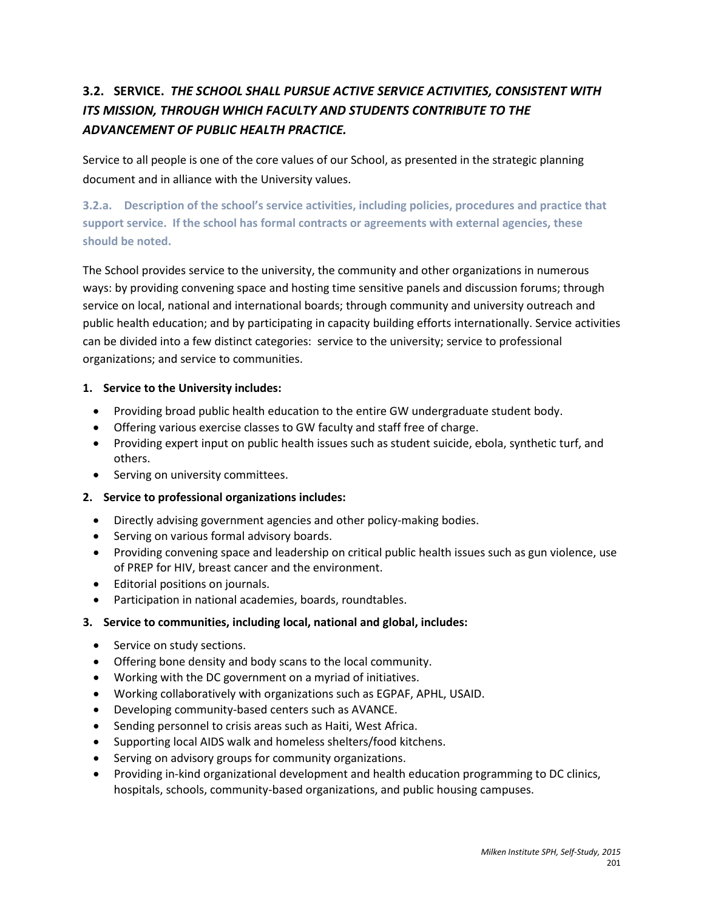# **3.2. SERVICE.** *THE SCHOOL SHALL PURSUE ACTIVE SERVICE ACTIVITIES, CONSISTENT WITH ITS MISSION, THROUGH WHICH FACULTY AND STUDENTS CONTRIBUTE TO THE ADVANCEMENT OF PUBLIC HEALTH PRACTICE.*

Service to all people is one of the core values of our School, as presented in the strategic planning document and in alliance with the University values.

**3.2.a. Description of the school's service activities, including policies, procedures and practice that support service. If the school has formal contracts or agreements with external agencies, these should be noted.** 

The School provides service to the university, the community and other organizations in numerous ways: by providing convening space and hosting time sensitive panels and discussion forums; through service on local, national and international boards; through community and university outreach and public health education; and by participating in capacity building efforts internationally. Service activities can be divided into a few distinct categories: service to the university; service to professional organizations; and service to communities.

# **1. Service to the University includes:**

- Providing broad public health education to the entire GW undergraduate student body.
- Offering various exercise classes to GW faculty and staff free of charge.
- Providing expert input on public health issues such as student suicide, ebola, synthetic turf, and others.
- Serving on university committees.

## **2. Service to professional organizations includes:**

- Directly advising government agencies and other policy-making bodies.
- Serving on various formal advisory boards.
- Providing convening space and leadership on critical public health issues such as gun violence, use of PREP for HIV, breast cancer and the environment.
- Editorial positions on journals.
- Participation in national academies, boards, roundtables.

## **3. Service to communities, including local, national and global, includes:**

- Service on study sections.
- Offering bone density and body scans to the local community.
- Working with the DC government on a myriad of initiatives.
- Working collaboratively with organizations such as EGPAF, APHL, USAID.
- Developing community-based centers such as AVANCE.
- Sending personnel to crisis areas such as Haiti, West Africa.
- Supporting local AIDS walk and homeless shelters/food kitchens.
- Serving on advisory groups for community organizations.
- Providing in-kind organizational development and health education programming to DC clinics, hospitals, schools, community-based organizations, and public housing campuses.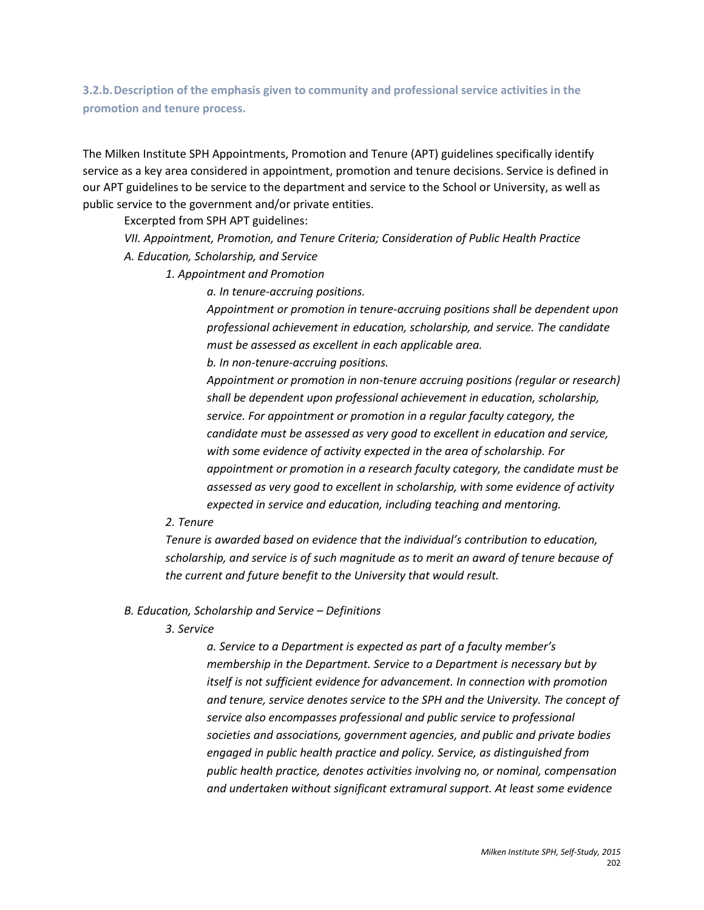**3.2.b.Description of the emphasis given to community and professional service activities in the promotion and tenure process.**

The Milken Institute SPH Appointments, Promotion and Tenure (APT) guidelines specifically identify service as a key area considered in appointment, promotion and tenure decisions. Service is defined in our APT guidelines to be service to the department and service to the School or University, as well as public service to the government and/or private entities.

Excerpted from SPH APT guidelines:

*VII. Appointment, Promotion, and Tenure Criteria; Consideration of Public Health Practice A. Education, Scholarship, and Service* 

*1. Appointment and Promotion* 

*a. In tenure-accruing positions.* 

*Appointment or promotion in tenure-accruing positions shall be dependent upon professional achievement in education, scholarship, and service. The candidate must be assessed as excellent in each applicable area.* 

*b. In non-tenure-accruing positions.* 

*Appointment or promotion in non-tenure accruing positions (regular or research) shall be dependent upon professional achievement in education, scholarship, service. For appointment or promotion in a regular faculty category, the candidate must be assessed as very good to excellent in education and service, with some evidence of activity expected in the area of scholarship. For appointment or promotion in a research faculty category, the candidate must be assessed as very good to excellent in scholarship, with some evidence of activity expected in service and education, including teaching and mentoring.*

#### *2. Tenure*

*Tenure is awarded based on evidence that the individual's contribution to education, scholarship, and service is of such magnitude as to merit an award of tenure because of the current and future benefit to the University that would result.* 

#### *B. Education, Scholarship and Service – Definitions*

*3. Service*

*a. Service to a Department is expected as part of a faculty member's membership in the Department. Service to a Department is necessary but by itself is not sufficient evidence for advancement. In connection with promotion and tenure, service denotes service to the SPH and the University. The concept of service also encompasses professional and public service to professional societies and associations, government agencies, and public and private bodies engaged in public health practice and policy. Service, as distinguished from public health practice, denotes activities involving no, or nominal, compensation and undertaken without significant extramural support. At least some evidence*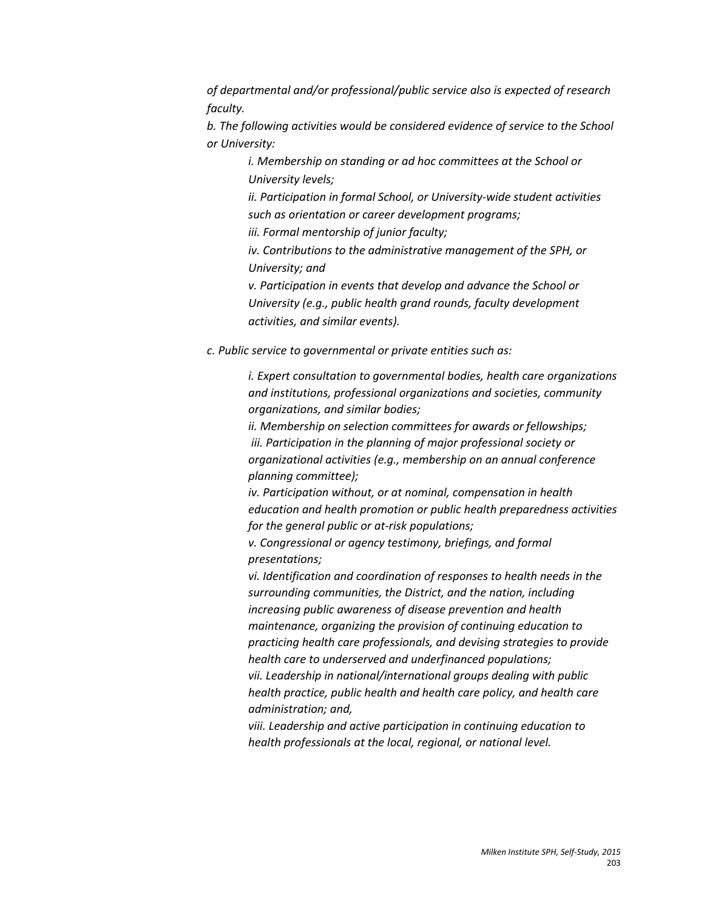*of departmental and/or professional/public service also is expected of research faculty.* 

*b. The following activities would be considered evidence of service to the School or University:* 

> *i. Membership on standing or ad hoc committees at the School or University levels;*

*ii. Participation in formal School, or University-wide student activities such as orientation or career development programs;* 

*iii. Formal mentorship of junior faculty;* 

*iv. Contributions to the administrative management of the SPH, or University; and* 

*v. Participation in events that develop and advance the School or University (e.g., public health grand rounds, faculty development activities, and similar events).*

*c. Public service to governmental or private entities such as:* 

*i. Expert consultation to governmental bodies, health care organizations and institutions, professional organizations and societies, community organizations, and similar bodies;*

*ii. Membership on selection committees for awards or fellowships; iii. Participation in the planning of major professional society or organizational activities (e.g., membership on an annual conference planning committee);* 

*iv. Participation without, or at nominal, compensation in health education and health promotion or public health preparedness activities for the general public or at-risk populations;* 

*v. Congressional or agency testimony, briefings, and formal presentations;*

*vi. Identification and coordination of responses to health needs in the surrounding communities, the District, and the nation, including increasing public awareness of disease prevention and health maintenance, organizing the provision of continuing education to practicing health care professionals, and devising strategies to provide health care to underserved and underfinanced populations; vii. Leadership in national/international groups dealing with public health practice, public health and health care policy, and health care administration; and,* 

*viii. Leadership and active participation in continuing education to health professionals at the local, regional, or national level.*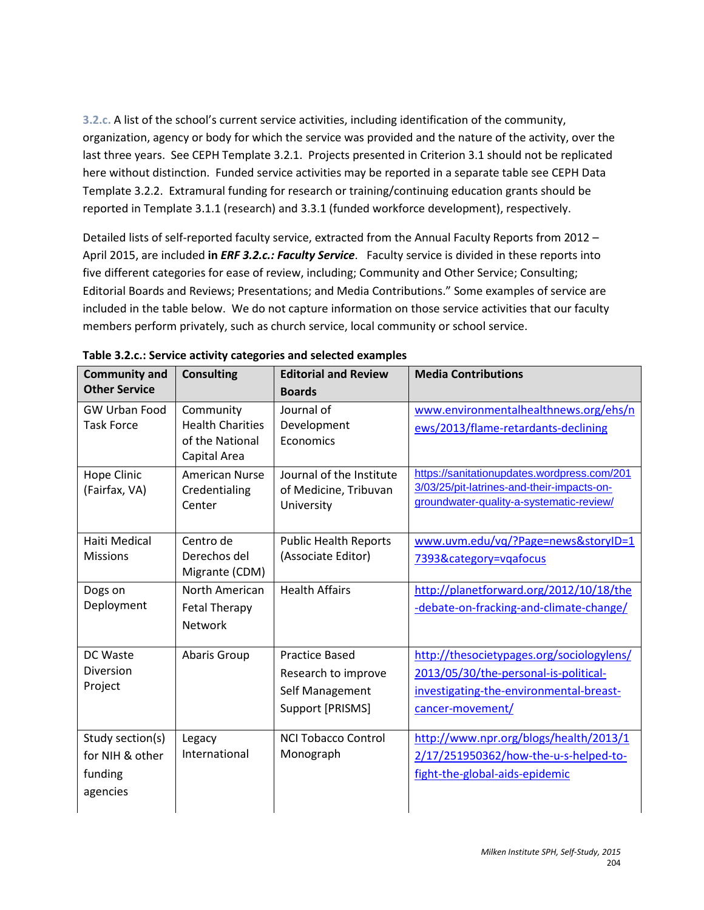**3.2.c.** A list of the school's current service activities, including identification of the community, organization, agency or body for which the service was provided and the nature of the activity, over the last three years. See CEPH Template 3.2.1. Projects presented in Criterion 3.1 should not be replicated here without distinction. Funded service activities may be reported in a separate table see CEPH Data Template 3.2.2. Extramural funding for research or training/continuing education grants should be reported in Template 3.1.1 (research) and 3.3.1 (funded workforce development), respectively.

Detailed lists of self-reported faculty service, extracted from the Annual Faculty Reports from 2012 – April 2015, are included **in** *ERF 3.2.c.: Faculty Service*. Faculty service is divided in these reports into five different categories for ease of review, including; Community and Other Service; Consulting; Editorial Boards and Reviews; Presentations; and Media Contributions." Some examples of service are included in the table below. We do not capture information on those service activities that our faculty members perform privately, such as church service, local community or school service.

| <b>Community and</b>                                       | <b>Consulting</b>                                                       | <b>Editorial and Review</b>                                                         | <b>Media Contributions</b>                                                                                                                        |
|------------------------------------------------------------|-------------------------------------------------------------------------|-------------------------------------------------------------------------------------|---------------------------------------------------------------------------------------------------------------------------------------------------|
| <b>Other Service</b>                                       |                                                                         | <b>Boards</b>                                                                       |                                                                                                                                                   |
| GW Urban Food<br><b>Task Force</b>                         | Community<br><b>Health Charities</b><br>of the National<br>Capital Area | Journal of<br>Development<br>Economics                                              | www.environmentalhealthnews.org/ehs/n<br>ews/2013/flame-retardants-declining                                                                      |
| <b>Hope Clinic</b><br>(Fairfax, VA)                        | <b>American Nurse</b><br>Credentialing<br>Center                        | Journal of the Institute<br>of Medicine, Tribuvan<br>University                     | https://sanitationupdates.wordpress.com/201<br>3/03/25/pit-latrines-and-their-impacts-on-<br>groundwater-quality-a-systematic-review/             |
| Haiti Medical<br><b>Missions</b>                           | Centro de<br>Derechos del<br>Migrante (CDM)                             | <b>Public Health Reports</b><br>(Associate Editor)                                  | www.uvm.edu/vq/?Page=news&storyID=1<br>7393&category=vqafocus                                                                                     |
| Dogs on<br>Deployment                                      | North American<br><b>Fetal Therapy</b><br><b>Network</b>                | <b>Health Affairs</b>                                                               | http://planetforward.org/2012/10/18/the<br>-debate-on-fracking-and-climate-change/                                                                |
| DC Waste<br><b>Diversion</b><br>Project                    | Abaris Group                                                            | <b>Practice Based</b><br>Research to improve<br>Self Management<br>Support [PRISMS] | http://thesocietypages.org/sociologylens/<br>2013/05/30/the-personal-is-political-<br>investigating-the-environmental-breast-<br>cancer-movement/ |
| Study section(s)<br>for NIH & other<br>funding<br>agencies | Legacy<br>International                                                 | <b>NCI Tobacco Control</b><br>Monograph                                             | http://www.npr.org/blogs/health/2013/1<br>2/17/251950362/how-the-u-s-helped-to-<br>fight-the-global-aids-epidemic                                 |

**Table 3.2.c.: Service activity categories and selected examples**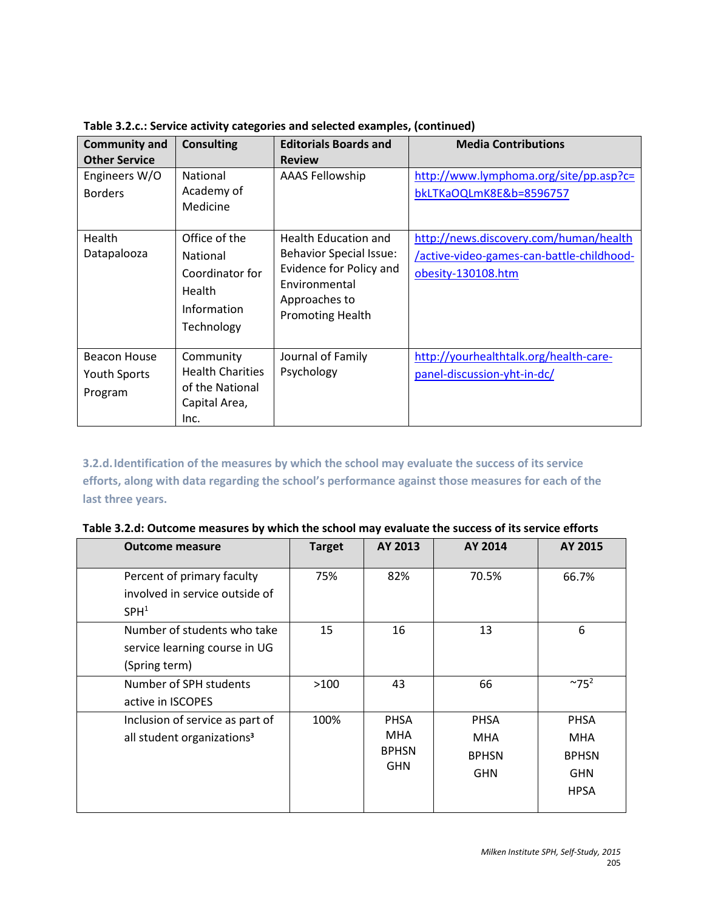|  | Table 3.2.c.: Service activity categories and selected examples, (continued) |  |
|--|------------------------------------------------------------------------------|--|
|  |                                                                              |  |

| <b>Community and</b><br><b>Other Service</b>          | <b>Consulting</b>                                                                                 | <b>Editorials Boards and</b><br><b>Review</b>                                                                                                  | <b>Media Contributions</b>                                                                                |
|-------------------------------------------------------|---------------------------------------------------------------------------------------------------|------------------------------------------------------------------------------------------------------------------------------------------------|-----------------------------------------------------------------------------------------------------------|
| Engineers W/O<br><b>Borders</b>                       | <b>National</b><br>Academy of<br>Medicine                                                         | <b>AAAS Fellowship</b>                                                                                                                         | http://www.lymphoma.org/site/pp.asp?c=<br>bkLTKaOQLmK8E&b=8596757                                         |
| Health<br>Datapalooza                                 | Office of the<br><b>National</b><br>Coordinator for<br><b>Health</b><br>Information<br>Technology | Health Education and<br><b>Behavior Special Issue:</b><br>Evidence for Policy and<br>Environmental<br>Approaches to<br><b>Promoting Health</b> | http://news.discovery.com/human/health<br>/active-video-games-can-battle-childhood-<br>obesity-130108.htm |
| <b>Beacon House</b><br><b>Youth Sports</b><br>Program | Community<br><b>Health Charities</b><br>of the National<br>Capital Area,<br>Inc.                  | Journal of Family<br>Psychology                                                                                                                | http://yourhealthtalk.org/health-care-<br>panel-discussion-yht-in-dc/                                     |

**3.2.d.Identification of the measures by which the school may evaluate the success of its service efforts, along with data regarding the school's performance against those measures for each of the last three years.** 

| Table 3.2.d: Outcome measures by which the school may evaluate the success of its service efforts |  |  |  |
|---------------------------------------------------------------------------------------------------|--|--|--|
|---------------------------------------------------------------------------------------------------|--|--|--|

| <b>Outcome measure</b>                                                           | <b>Target</b> | AY 2013                                                 | AY 2014                                                 | AY 2015                                                         |
|----------------------------------------------------------------------------------|---------------|---------------------------------------------------------|---------------------------------------------------------|-----------------------------------------------------------------|
| Percent of primary faculty<br>involved in service outside of<br>SPH <sup>1</sup> | 75%           | 82%                                                     | 70.5%                                                   | 66.7%                                                           |
| Number of students who take<br>service learning course in UG<br>(Spring term)    | 15            | 16                                                      | 13                                                      | 6                                                               |
| Number of SPH students<br>active in ISCOPES                                      | >100          | 43                                                      | 66                                                      | $~^{\sim}75^2$                                                  |
| Inclusion of service as part of<br>all student organizations <sup>3</sup>        | 100%          | <b>PHSA</b><br><b>MHA</b><br><b>BPHSN</b><br><b>GHN</b> | <b>PHSA</b><br><b>MHA</b><br><b>BPHSN</b><br><b>GHN</b> | <b>PHSA</b><br><b>MHA</b><br><b>BPHSN</b><br><b>GHN</b><br>HPSA |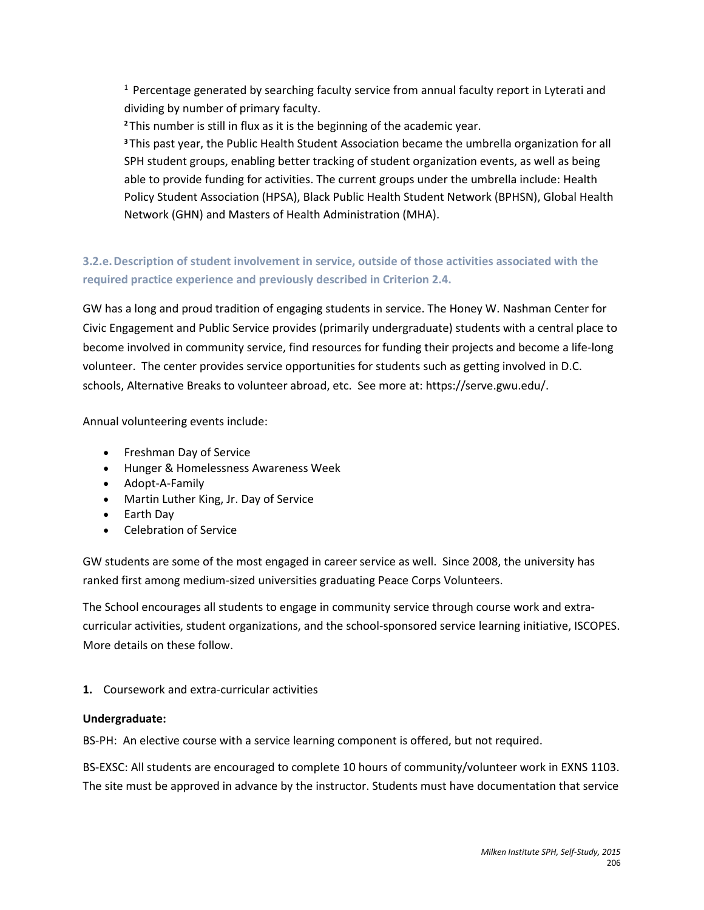$1$  Percentage generated by searching faculty service from annual faculty report in Lyterati and dividing by number of primary faculty.

**<sup>2</sup>** This number is still in flux as it is the beginning of the academic year.

**<sup>3</sup>**This past year, the Public Health Student Association became the umbrella organization for all SPH student groups, enabling better tracking of student organization events, as well as being able to provide funding for activities. The current groups under the umbrella include: Health Policy Student Association (HPSA), Black Public Health Student Network (BPHSN), Global Health Network (GHN) and Masters of Health Administration (MHA).

# **3.2.e.Description of student involvement in service, outside of those activities associated with the required practice experience and previously described in Criterion 2.4.**

GW has a long and proud tradition of engaging students in service. The Honey W. Nashman Center for Civic Engagement and Public Service provides (primarily undergraduate) students with a central place to become involved in community service, find resources for funding their projects and become a life-long volunteer. The center provides service opportunities for students such as getting involved in D.C. schools, Alternative Breaks to volunteer abroad, etc. See more at: https://serve.gwu.edu/.

Annual volunteering events include:

- Freshman Day of Service
- Hunger & Homelessness Awareness Week
- Adopt-A-Family
- Martin Luther King, Jr. Day of Service
- Earth Day
- Celebration of Service

GW students are some of the most engaged in career service as well. Since 2008, the university has ranked first among medium-sized universities graduating Peace Corps Volunteers.

The School encourages all students to engage in community service through course work and extracurricular activities, student organizations, and the school-sponsored service learning initiative, ISCOPES. More details on these follow.

# **1.** Coursework and extra-curricular activities

## **Undergraduate:**

BS-PH: An elective course with a service learning component is offered, but not required.

BS-EXSC: All students are encouraged to complete 10 hours of community/volunteer work in EXNS 1103. The site must be approved in advance by the instructor. Students must have documentation that service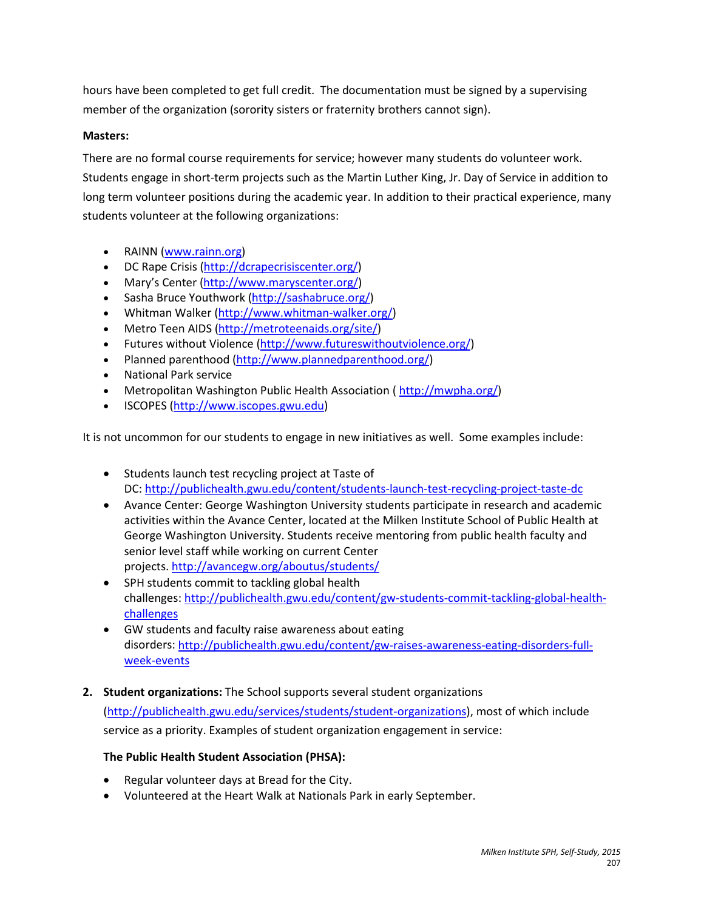hours have been completed to get full credit. The documentation must be signed by a supervising member of the organization (sorority sisters or fraternity brothers cannot sign).

# **Masters:**

There are no formal course requirements for service; however many students do volunteer work. Students engage in short-term projects such as the Martin Luther King, Jr. Day of Service in addition to long term volunteer positions during the academic year. In addition to their practical experience, many students volunteer at the following organizations:

- RAINN [\(www.rainn.org\)](http://www.rainn.org/)
- DC Rape Crisis [\(http://dcrapecrisiscenter.org/\)](http://dcrapecrisiscenter.org/)
- Mary's Center [\(http://www.maryscenter.org/\)](http://www.maryscenter.org/)
- Sasha Bruce Youthwork [\(http://sashabruce.org/\)](http://sashabruce.org/)
- Whitman Walker [\(http://www.whitman-walker.org/\)](http://www.whitman-walker.org/)
- Metro Teen AIDS [\(http://metroteenaids.org/site/\)](http://metroteenaids.org/site/)
- Futures without Violence [\(http://www.futureswithoutviolence.org/\)](http://www.futureswithoutviolence.org/)
- Planned parenthood [\(http://www.plannedparenthood.org/\)](http://www.plannedparenthood.org/)
- National Park service
- Metropolitan Washington Public Health Association ( [http://mwpha.org/\)](http://mwpha.org/)
- ISCOPES [\(http://www.iscopes.gwu.edu\)](http://www.iscopes.gwu.edu/)

It is not uncommon for our students to engage in new initiatives as well. Some examples include:

- Students launch test recycling project at Taste of DC:<http://publichealth.gwu.edu/content/students-launch-test-recycling-project-taste-dc>
- Avance Center: George Washington University students participate in research and academic activities within the Avance Center, located at the Milken Institute School of Public Health at George Washington University. Students receive mentoring from public health faculty and senior level staff while working on current Center projects[. http://avancegw.org/aboutus/students/](http://avancegw.org/aboutus/students/)
- SPH students commit to tackling global health challenges: [http://publichealth.gwu.edu/content/gw-students-commit-tackling-global-health](http://publichealth.gwu.edu/content/gw-students-commit-tackling-global-health-challenges)[challenges](http://publichealth.gwu.edu/content/gw-students-commit-tackling-global-health-challenges)
- GW students and faculty raise awareness about eating disorders: [http://publichealth.gwu.edu/content/gw-raises-awareness-eating-disorders-full](http://publichealth.gwu.edu/content/gw-raises-awareness-eating-disorders-full-week-events)[week-events](http://publichealth.gwu.edu/content/gw-raises-awareness-eating-disorders-full-week-events)
- **2. Student organizations:** The School supports several student organizations

[\(http://publichealth.gwu.edu/services/students/student-organizations\)](http://publichealth.gwu.edu/services/students/student-organizations), most of which include service as a priority. Examples of student organization engagement in service:

# **The Public Health Student Association (PHSA):**

- Regular volunteer days at Bread for the City.
- Volunteered at the Heart Walk at Nationals Park in early September.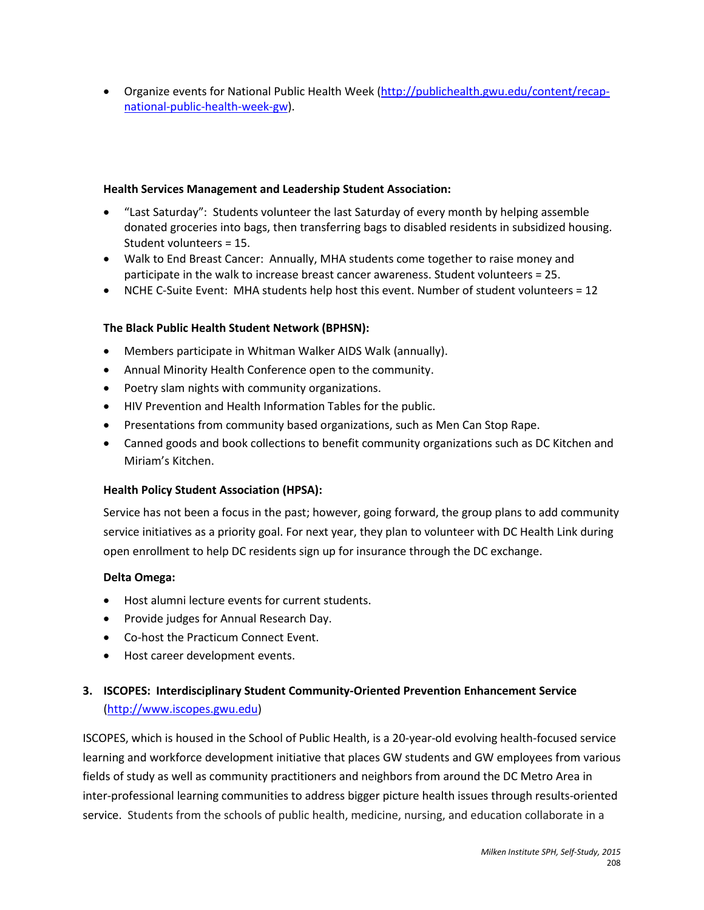• Organize events for National Public Health Week [\(http://publichealth.gwu.edu/content/recap](http://publichealth.gwu.edu/content/recap-national-public-health-week-gw)[national-public-health-week-gw\)](http://publichealth.gwu.edu/content/recap-national-public-health-week-gw).

## **Health Services Management and Leadership Student Association:**

- "Last Saturday": Students volunteer the last Saturday of every month by helping assemble donated groceries into bags, then transferring bags to disabled residents in subsidized housing. Student volunteers = 15.
- Walk to End Breast Cancer: Annually, MHA students come together to raise money and participate in the walk to increase breast cancer awareness. Student volunteers = 25.
- NCHE C-Suite Event: MHA students help host this event. Number of student volunteers = 12

## **The Black Public Health Student Network (BPHSN):**

- Members participate in Whitman Walker AIDS Walk (annually).
- Annual Minority Health Conference open to the community.
- Poetry slam nights with community organizations.
- HIV Prevention and Health Information Tables for the public.
- Presentations from community based organizations, such as Men Can Stop Rape.
- Canned goods and book collections to benefit community organizations such as DC Kitchen and Miriam's Kitchen.

## **Health Policy Student Association (HPSA):**

Service has not been a focus in the past; however, going forward, the group plans to add community service initiatives as a priority goal. For next year, they plan to volunteer with DC Health Link during open enrollment to help DC residents sign up for insurance through the DC exchange.

## **Delta Omega:**

- Host alumni lecture events for current students.
- Provide judges for Annual Research Day.
- Co-host the Practicum Connect Event.
- Host career development events.

# **3. ISCOPES: Interdisciplinary Student Community-Oriented Prevention Enhancement Service** [\(http://www.iscopes.gwu.edu\)](http://www.iscopes.gwu.edu/)

ISCOPES, which is housed in the School of Public Health, is a 20-year-old evolving health-focused service learning and workforce development initiative that places GW students and GW employees from various fields of study as well as community practitioners and neighbors from around the DC Metro Area in inter-professional learning communities to address bigger picture health issues through results-oriented service. Students from the schools of public health, medicine, nursing, and education collaborate in a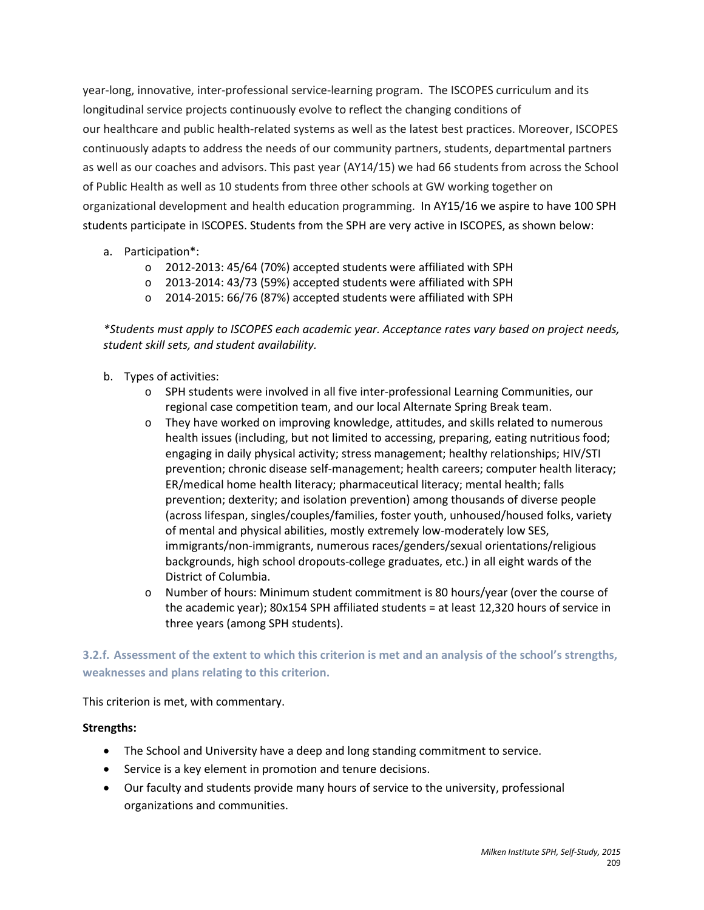year-long, innovative, inter-professional service-learning program. The ISCOPES curriculum and its longitudinal service projects continuously evolve to reflect the changing conditions of our healthcare and public health-related systems as well as the latest best practices. Moreover, ISCOPES continuously adapts to address the needs of our community partners, students, departmental partners as well as our coaches and advisors. This past year (AY14/15) we had 66 students from across the School of Public Health as well as 10 students from three other schools at GW working together on organizational development and health education programming. In AY15/16 we aspire to have 100 SPH students participate in ISCOPES. Students from the SPH are very active in ISCOPES, as shown below:

# a. Participation\*:

- o 2012-2013: 45/64 (70%) accepted students were affiliated with SPH
- o 2013-2014: 43/73 (59%) accepted students were affiliated with SPH
- o 2014-2015: 66/76 (87%) accepted students were affiliated with SPH

*\*Students must apply to ISCOPES each academic year. Acceptance rates vary based on project needs, student skill sets, and student availability.* 

- b. Types of activities:
	- o SPH students were involved in all five inter-professional Learning Communities, our regional case competition team, and our local Alternate Spring Break team.
	- o They have worked on improving knowledge, attitudes, and skills related to numerous health issues (including, but not limited to accessing, preparing, eating nutritious food; engaging in daily physical activity; stress management; healthy relationships; HIV/STI prevention; chronic disease self-management; health careers; computer health literacy; ER/medical home health literacy; pharmaceutical literacy; mental health; falls prevention; dexterity; and isolation prevention) among thousands of diverse people (across lifespan, singles/couples/families, foster youth, unhoused/housed folks, variety of mental and physical abilities, mostly extremely low-moderately low SES, immigrants/non-immigrants, numerous races/genders/sexual orientations/religious backgrounds, high school dropouts-college graduates, etc.) in all eight wards of the District of Columbia.
	- o Number of hours: Minimum student commitment is 80 hours/year (over the course of the academic year); 80x154 SPH affiliated students = at least 12,320 hours of service in three years (among SPH students).

**3.2.f. Assessment of the extent to which this criterion is met and an analysis of the school's strengths, weaknesses and plans relating to this criterion.**

This criterion is met, with commentary.

## **Strengths:**

- The School and University have a deep and long standing commitment to service.
- Service is a key element in promotion and tenure decisions.
- Our faculty and students provide many hours of service to the university, professional organizations and communities.